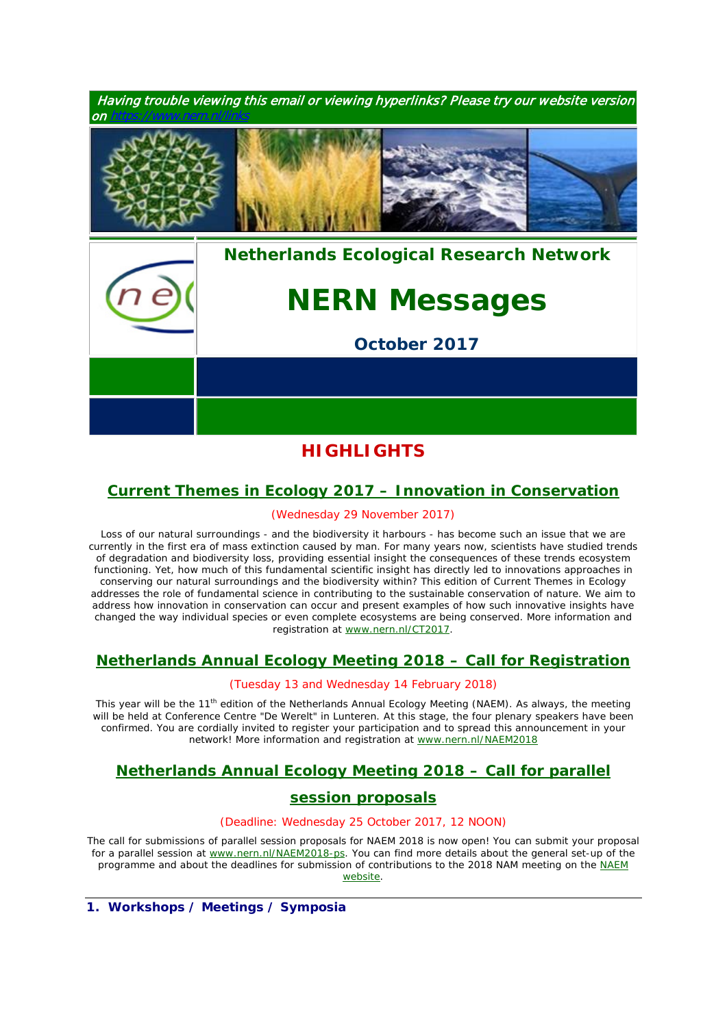

# **HIGHLIGHTS**

# *[Current Themes in Ecology 2017 –](https://www.nern.nl/CT2017) Innovation in Conservation*

#### (Wednesday 29 November 2017)

*Loss of our natural surroundings - and the biodiversity it harbours - has become such an issue that we are currently in the first era of mass extinction caused by man. For many years now, scientists have studied trends of degradation and biodiversity loss, providing essential insight the consequences of these trends ecosystem functioning. Yet, how much of this fundamental scientific insight has directly led to innovations approaches in conserving our natural surroundings and the biodiversity within? This edition of Current Themes in Ecology addresses the role of fundamental science in contributing to the sustainable conservation of nature. We aim to address how innovation in conservation can occur and present examples of how such innovative insights have changed the way individual species or even complete ecosystems are being conserved. More information and registration at* [www.nern.nl/CT2017](http://www.nern.nl/CT2017)*.*

# *[Netherlands Annual Ecology Meeting 2018 –](https://www.nern.nl/NAEM2018) Call for Registration*

#### (Tuesday 13 and Wednesday 14 February 2018)

*This year will be the 11th edition of the Netherlands Annual Ecology Meeting (NAEM). As always, the meeting will be held at Conference Centre "De Werelt" in Lunteren. At this stage, the four plenary speakers have been confirmed. You are cordially invited to register your participation and to spread this announcement in your network! More information and registration at* [www.nern.nl/NAEM2018](http://www.nern.nl/NAEM2018)

## *[Netherlands Annual Ecology Meeting 2018 –](https://www.nern.nl/NAEM2018-PS) Call for parallel*

## *[session proposals](https://www.nern.nl/NAEM2018-PS)*

#### (Deadline: Wednesday 25 October 2017, 12 NOON)

*The call for submissions of parallel session proposals for NAEM 2018 is now open! You can submit your proposal for a parallel session at* [www.nern.nl/NAEM2018-ps](http://www.nern.nl/NAEM2018-ps)*. You can find more details about the general set-up of the programme and about the deadlines for submission of contributions to the 2018 NAM meeting on the* [NAEM](https://www.nern.nl/NAEM2018)  [website](https://www.nern.nl/NAEM2018)*.*

**1. Workshops / Meetings / Symposia**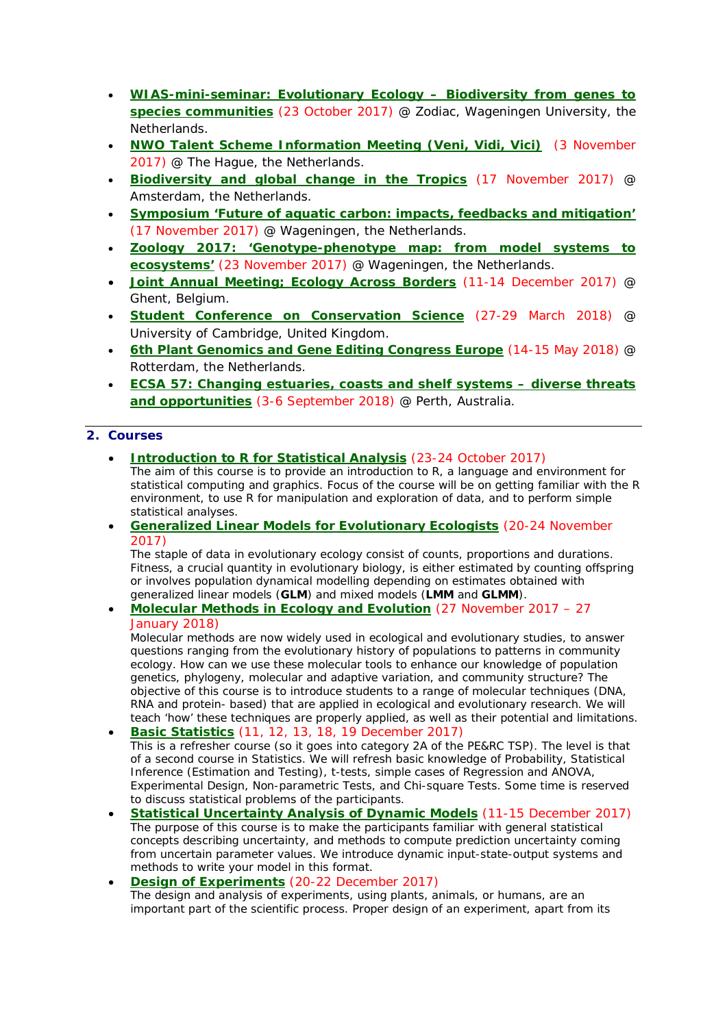- **[WIAS-mini-seminar: Evolutionary Ecology –](http://www.wur.nl/en/activity/WIAS-mini-seminar-Evolutionary-Ecology-Biodiversity-from-genes-to-species-communities-.htm) Biodiversity from genes to [species communities](http://www.wur.nl/en/activity/WIAS-mini-seminar-Evolutionary-Ecology-Biodiversity-from-genes-to-species-communities-.htm)** (23 October 2017) @ Zodiac, Wageningen University, the Netherlands.
- **[NWO Talent Scheme Information Meeting \(Veni, Vidi, Vici\)](https://www.nwo.nl/en/research-and-results/programmes/Talent+Scheme/talent+scheme+information+meeting)** (3 November 2017) @ The Hague, the Netherlands.
- **[Biodiversity and global change in the Tropics](https://www.pe-rc.nl/treub-symposium)** (17 November 2017) @ Amsterdam, the Netherlands.
- **[Symposium 'Future of aquatic carbon: impacts, feedbacks and mitigation'](https://www.wetland-ecology.nl/en)** (17 November 2017) @ Wageningen, the Netherlands.
- **[Zoology 2017: 'Genotype-phenotype map: from model systems to](https://www.wur.nl/en/activity/Zoology-2017-Genotype-phenotype-map-from-model-systems-to-ecosystems-1.htm)  [ecosystems'](https://www.wur.nl/en/activity/Zoology-2017-Genotype-phenotype-map-from-model-systems-to-ecosystems-1.htm)** (23 November 2017) @ Wageningen, the Netherlands.
- **[Joint Annual Meeting; Ecology Across](http://www.britishecologicalsociety.org/events/annual-meeting-2017/) Borders** (11-14 December 2017) @ Ghent, Belgium.
- **[Student Conference on Conservation Science](http://www.sccs-cam.org/)** (27-29 March 2018) @ University of Cambridge, United Kingdom.
- **[6th Plant Genomics and Gene Editing Congress Europe](http://www.global-engage.com/event/plant-genomics/)** (14-15 May 2018) @ Rotterdam, the Netherlands.
- **[ECSA 57: Changing estuaries, coasts and shelf systems –](http://www.estuarinecoastalconference.com/) diverse threats [and opportunities](http://www.estuarinecoastalconference.com/)** (3-6 September 2018) @ Perth, Australia.

### **2. Courses**

- **[Introduction to R for Statistical Analysis](https://www.pe-rc.nl/node/20123)** (23-24 October 2017) *The aim of this course is to provide an introduction to R, a language and environment for statistical computing and graphics. Focus of the course will be on getting familiar with the R environment, to use R for manipulation and exploration of data, and to perform simple statistical analyses.*
- **[Generalized Linear Models for Evolutionary Ecologists](https://glm2017vpa.sciencesconf.org/)** (20-24 November 2017)

*The staple of data in evolutionary ecology consist of counts, proportions and durations. Fitness, a crucial quantity in evolutionary biology, is either estimated by counting offspring or involves population dynamical modelling depending on estimates obtained with generalized linear models (GLM) and mixed models (LMM and GLMM).*

### • **[Molecular Methods in Ecology and Evolution](http://www.rug.nl/research/ecology-and-evolution/phdcourses/molecularmethodsecolgyevolution)** (27 November 2017 – 27 January 2018)

*Molecular methods are now widely used in ecological and evolutionary studies, to answer questions ranging from the evolutionary history of populations to patterns in community ecology. How can we use these molecular tools to enhance our knowledge of population genetics, phylogeny, molecular and adaptive variation, and community structure? The objective of this course is to introduce students to a range of molecular techniques (DNA, RNA and protein- based) that are applied in ecological and evolutionary research. We will teach 'how' these techniques are properly applied, as well as their potential and limitations.* • **[Basic Statistics](https://www.pe-rc.nl/postgraduate-courses/basic-statistics)** (11, 12, 13, 18, 19 December 2017)

*This is a refresher course (so it goes into category 2A of the PE&RC TSP). The level is that of a second course in Statistics. We will refresh basic knowledge of Probability, Statistical Inference (Estimation and Testing), t-tests, simple cases of Regression and ANOVA, Experimental Design, Non-parametric Tests, and Chi-square Tests. Some time is reserved to discuss statistical problems of the participants.*

• **[Statistical Uncertainty Analysis of Dynamic Models](https://www.pe-rc.nl/postgraduate-courses/uncertainty-analysis-dynamic-models)** (11-15 December 2017) *The purpose of this course is to make the participants familiar with general statistical concepts describing uncertainty, and methods to compute prediction uncertainty coming from uncertain parameter values. We introduce dynamic input-state-output systems and methods to write your model in this format.*

#### • **[Design of Experiments](http://www.wur.nl/en/Education-Programmes/PhD-Programme/Graduate-Schools/Wageningen-Institute-of-Animal-Sciences/Show-1/WIASPERC-advanced-statistics-course-Design-of-Experiments-December-2017.htm)** (20-22 December 2017) *The design and analysis of experiments, using plants, animals, or humans, are an important part of the scientific process. Proper design of an experiment, apart from its*